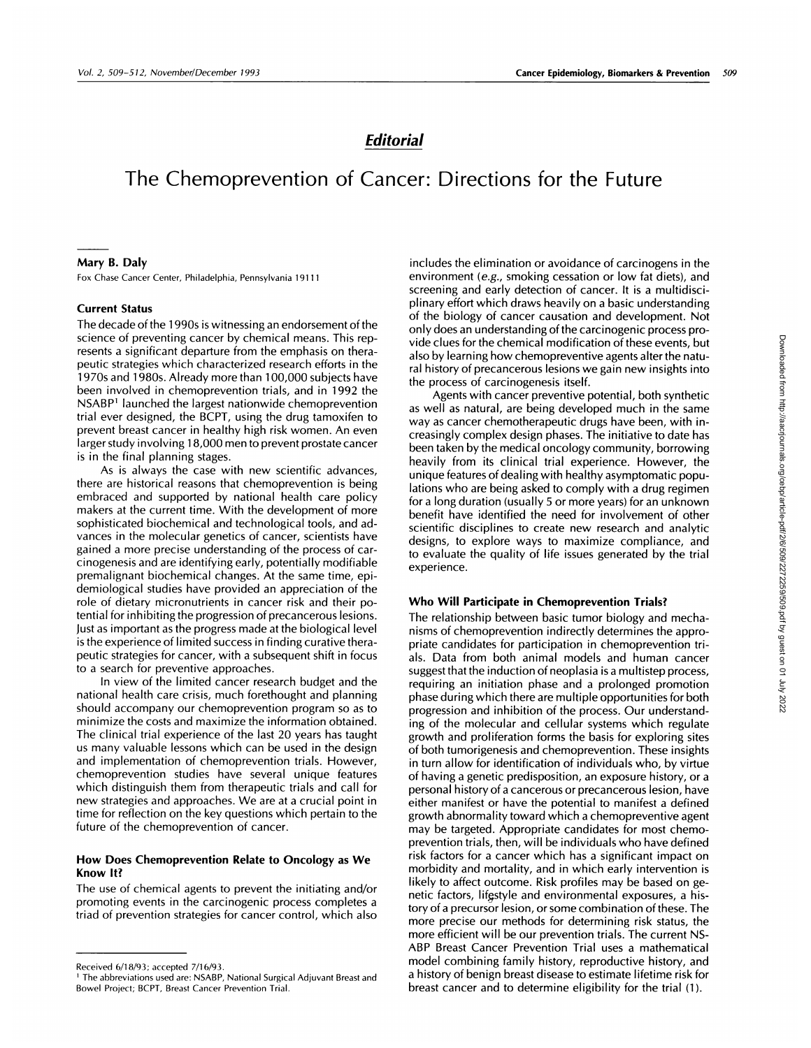## **Editorial**

# The Chemoprevention of Cancer: Directions for the Future

#### **Mary B. Daly**

Fox Chase Cancer Center, Philadelphia, Pennsylvania 19111

#### **Current Status**

The decade of the 1990s is witnessing an endorsement of the science of preventing cancer by chemical means. This represents a significant departure from the emphasis on therapeutic strategies which characterized research efforts in the 1970s and 1980s. Already more than 1 00,000 subjects have been involved in chemoprevention trials, and in 1992 the NSABP1 launched the largest nationwide chemoprevention trial ever designed, the BCPT, using the drug tamoxifen to prevent breast cancer in healthy high risk women. An even larger study involving 18,000 men to prevent prostate cancer is in the final planning stages.

As is always the case with new scientific advances, there are historical reasons that chemoprevention is being embraced and supported by national health care policy makers at the current time. With the development of more sophisticated biochemical and technological tools, and ad vances in the molecular genetics of cancer, scientists have gained a more precise understanding of the process of car cinogenesis and are identifying early, potentially modifiable premalignant biochemical changes. At the same time, epidemiological studies have provided an appreciation of the role of dietary micronutrients in cancer risk and their potential for inhibiting the progression of precancerous lesions. Just as important as the progress made at the biological level is the experience of limited success in finding curative therapeutic strategies for cancer, with a subsequent shift in focus to a search for preventive approaches.

In view of the limited cancer research budget and the national health care crisis, much forethought and planning should accompany our chemoprevention program so as to minimize the costs and maximize the information obtained. The clinical trial experience of the last 20 years has taught us many valuable lessons which can be used in the design and implementation of chemoprevention trials. However, chemoprevention studies have several unique features which distinguish them from therapeutic trials and call for new strategies and approaches. We are at a crucial point in time for reflection on the key questions which pertain to the future of the chemoprevention of cancer.

### **How Does Chemoprevention Relate to Oncology as We Know It?**

The use of chemical agents to prevent the initiating and/or promoting events in the carcinogenic process completes a triad of prevention strategies for cancer control, which also includes the elimination or avoidance of carcinogens in the environment (e.g., smoking cessation or low fat diets), and screening and early detection of cancer. It is a multidisciplinary effort which draws heavily on a basic understanding of the biology of cancer causation and development. Not only does an understanding of the carcinogenic process provide clues for the chemical modification of these events, but also by learning how chemopreventive agents alter the natural history of precancerous lesions we gain new insights into the process of carcinogenesis itself.

Agents with cancer preventive potential, both synthetic as well as natural, are being developed much in the same way as cancer chemotherapeutic drugs have been, with increasingly complex design phases. The initiative to date has been taken by the medical oncology community, borrowing heavily from its clinical trial experience. However, the unique features of dealing with healthy asymptomatic populations who are being asked to comply with a drug regimen for a long duration (usually 5 or more years) for an unknown benefit have identified the need for involvement of other scientific disciplines to create new research and analytic designs, to explore ways to maximize compliance, and to evaluate the quality of life issues generated by the trial experience.

#### **Who Will Participate in Chemoprevention Trials?**

The relationship between basic tumor biology and mechanisms of chemoprevention indirectly determines the appropriate candidates for participation in chemoprevention trials. Data from both animal models and human cancer suggest that the induction of neoplasia is a multistep process, requiring an initiation phase and a prolonged promotion phase during which there are multiple opportunities for both progression and inhibition of the process. Our understanding of the molecular and cellular systems which regulate growth and proliferation forms the basis for exploring sites of both tumonigenesis and chemoprevention. These insights in turn allow for identification of individuals who, by virtue of having a genetic predisposition, an exposure history, on a personal history of a cancerous or precancerous lesion, have either manifest on have the potential to manifest a defined growth abnormality toward which a chemopreventive agent may be targeted. Appropriate candidates for most chemoprevention trials, then, will be individuals who have defined risk factors for a cancer which has a significant impact on morbidity and mortality, and in which early intervention is likely to affect outcome. Risk profiles may be based on genetic factors, lifestyle and environmental exposures, a history of a precursor lesion, or some combination of these. The more precise our methods for determining risk status, the more efficient will be our prevention trials. The current NS-ABP Breast Cancer Prevention Trial uses a mathematical model combining family history, reproductive history, and a history of benign breast disease to estimate lifetime risk for breast cancer and to determine eligibility for the trial (1).

Received 6/18/93; accepted 7/16/93.

<sup>&</sup>lt;sup>1</sup> The abbreviations used are: NSABP, National Surgical Adjuvant Breast and Bowel Project; BCPT, Breast Cancer Prevention Trial.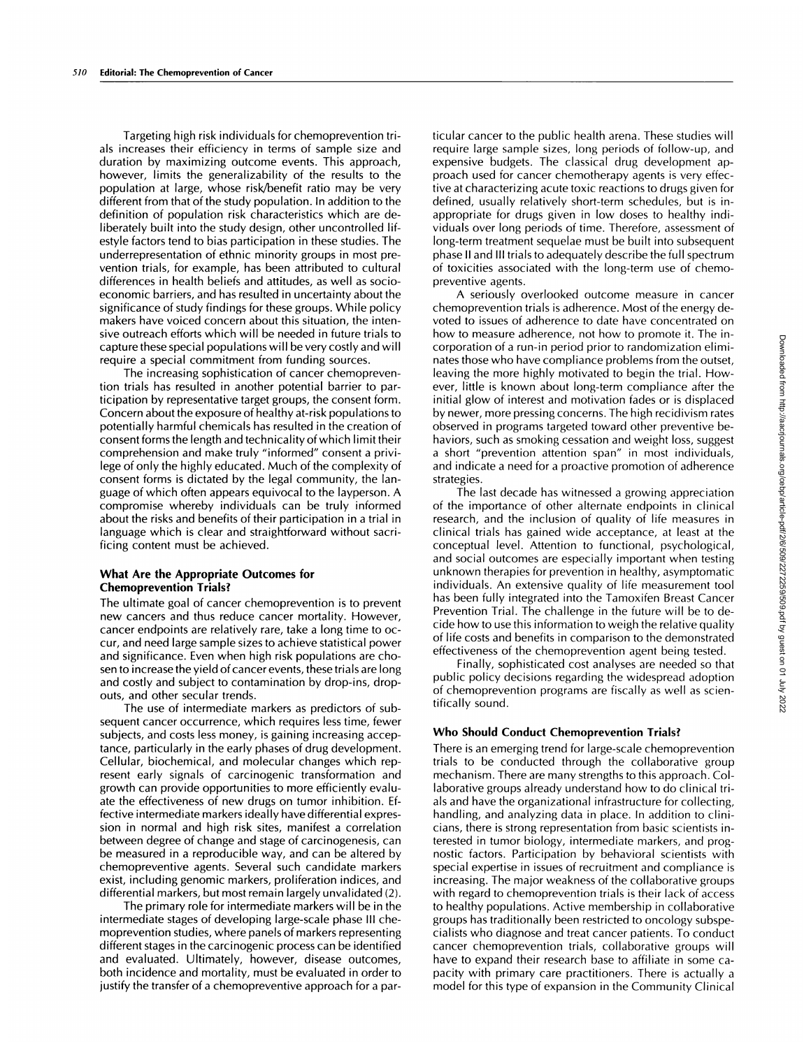Targeting high risk individuals for chemoprevention tnals increases their efficiency in terms of sample size and duration by maximizing outcome events. This approach, however, limits the generalizability of the results to the population at large, whose risk/benefit ratio may be very different from that of the study population. In addition to the definition of population risk characteristics which are deliberately built into the study design, other uncontrolled lifestyle factors tend to bias participation in these studies. The underrepresentation of ethnic minority groups in most prevention trials, for example, has been attributed to cultural differences in health beliefs and attitudes, as well as socioeconomic barriers, and has resulted in uncertainty about the significance of study findings for these groups. While policy makers have voiced concern about this situation, the intensive outreach efforts which will be needed in future trials to capture these special populations will be very costly and will require a special commitment from funding sources.

The increasing sophistication of cancer chemoprevention trials has resulted in another potential barrier to participation by representative target groups, the consent form. Concern about the exposure of healthy at-risk populations to potentially harmful chemicals has resulted in the creation of consent forms the length and technicality of which limit their comprehension and make truly "informed" consent a privilege of only the highly educated. Much of the complexity of consent forms is dictated by the legal community, the Ianguage of which often appears equivocal to the layperson. A compromise whereby individuals can be truly informed about the risks and benefits of their participation in a trial in language which is clear and straightforward without sacrificing content must be achieved.

### **What Are the Appropriate Outcomes for Chemoprevention Trials?**

The ultimate goal of cancer chemoprevention is to prevent new cancers and thus reduce cancer mortality. However, cancer endpoints are relatively rare, take a long time to oc cur, and need large sample sizes to achieve statistical power and significance. Even when high risk populations are cho sen to increase the yield of cancer events, these trials are long and costly and subject to contamination by drop-ins, dropouts, and other secular trends.

The use of intermediate markers as predictors of subsequent cancer occurrence, which requires less time, fewer subjects, and costs less money, is gaining increasing acceptance, particularly in the early phases of drug development. Cellular, biochemical, and molecular changes which represent early signals of carcinogenic transformation and growth can provide opportunities to more efficiently evaluate the effectiveness of new drugs on tumor inhibition. Effective intermediate markers ideally have differential expression in normal and high risk sites, manifest a correlation between degree of change and stage of carcinogenesis, can be measured in a reproducible way, and can be altered by chemopreventive agents. Several such candidate markers exist, including genomic markers, proliferation indices, and differential markers, but most remain largely unvahidated (2).

The primary role for intermediate markers will be in the intermediate stages of developing large-scale phase III chemoprevention studies, where panels of markers representing different stages in the carcinogenic process can be identified and evaluated. Ultimately, however, disease outcomes, both incidence and mortality, must be evaluated in order to justify the transfer of a chemopreventive approach for a particular cancer to the public health arena. These studies will require large sample sizes, long periods of follow-up, and expensive budgets. The classical drug development approach used for cancer chemotherapy agents is very effective at characterizing acute toxic reactions to drugs given for defined, usually relatively short-term schedules, but is inappropriate for drugs given in low doses to healthy individuals over long periods of time. Therefore, assessment of long-term treatment sequelae must be built into subsequent phase II and III trials to adequately describe the full spectrum of toxicities associated with the long-term use of chemopreventive agents.

A seriously overlooked outcome measure in cancer chemoprevention trials is adherence. Most of the energy devoted to issues of adherence to date have concentrated on how to measure adherence, not how to promote it. The incorporation of a run-in period prior to randomization eliminates those who have compliance problems from the outset, leaving the more highly motivated to begin the trial. However, little is known about long-term compliance after the initial glow of interest and motivation fades or is displaced by newer, more pressing concerns. The high recidivism rates observed in programs targeted toward other preventive behaviors, such as smoking cessation and weight loss, suggest a short "prevention attention span" in most individuals, and indicate a need for a proactive promotion of adherence strategies.

The last decade has witnessed a growing appreciation of the importance of other alternate endpoints in clinical research, and the inclusion of quality of life measures in clinical trials has gained wide acceptance, at least at the conceptual level. Attention to functional, psychological, and social outcomes are especially important when testing unknown therapies for prevention in healthy, asymptomatic individuals. An extensive quality of life measurement tool has been fully integrated into the Tamoxifen Breast Cancer Prevention Trial. The challenge in the future will be to decide how to use this information to weigh the relative quality of life costs and benefits in comparison to the demonstrated effectiveness of the chemoprevention agent being tested.

Finally, sophisticated cost analyses are needed so that public policy decisions regarding the widespread adoption of chemoprevention programs are fiscally as well as scientifically sound.

#### **Who Should Conduct Chemoprevention Trials?**

There is an emerging trend for large-scale chemoprevention trials to be conducted through the collaborative group mechanism. There are many strengths to this approach. Collaborative groups already understand how to do clinical trials and have the organizational infrastructure for collecting, handling, and analyzing data in place. In addition to clinicians, there is strong representation from basic scientists interested in tumor biology, intermediate markers, and prognostic factors. Participation by behavioral scientists with special expertise in issues of recruitment and compliance is increasing. The major weakness of the collaborative groups with regard to chemoprevention trials is their lack of access to healthy populations. Active membership in collaborative groups has traditionally been restricted to oncology subspecialists who diagnose and treat cancer patients. To conduct cancer chemoprevention trials, collaborative groups will have to expand their research base to affiliate in some ca pacity with primary care practitioners. There is actually a model for this type of expansion in the Community Clinical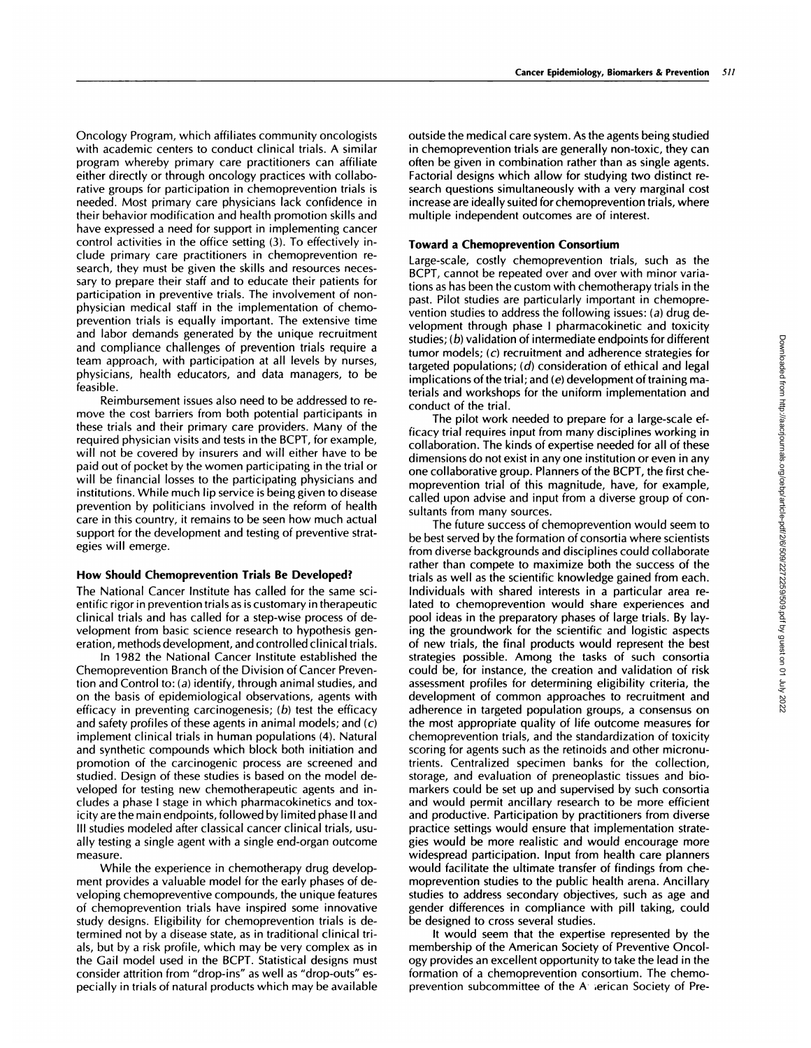Oncology Program, which affiliates community oncologists with academic centers to conduct clinical trials. A similar program whereby primary care practitioners can affiliate either directly or through oncology practices with collabonative groups for participation in chemoprevention trials is needed. Most primary care physicians lack confidence in their behavior modification and health promotion skills and have expressed a need for support in implementing cancer control activities in the office setting (3). To effectively include primary care practitioners in chemoprevention research, they must be given the skills and resources neces sary to prepare their staff and to educate their patients for participation in preventive trials. The involvement of non physician medical staff in the implementation of chemoprevention trials is equally important. The extensive time and labor demands generated by the unique recruitment and compliance challenges of prevention trials require a team approach, with participation at all levels by nurses, physicians, health educators, and data managers, to be feasible.

Reimbursement issues also need to be addressed to re-move the cost barriers from both potential participants in these trials and their primary care providers. Many of the required physician visits and tests in the BCPT, for example, will not be covered by insurers and will either have to be paid out of pocket by the women participating in the trial or will be financial losses to the participating physicians and institutions. While much lip service is being given to disease prevention by politicians involved in the reform of health care in this country, it remains to be seen how much actual support for the development and testing of preventive strategies will emerge.

#### **How Should Chemoprevention Trials Be Developed?**

The National Cancer Institute has called for the same scientific rigor in prevention trials as is customary in therapeutic clinical trials and has called for a step-wise process of development from basic science research to hypothesis generation, methods development, and controlled clinical trials.

In 1982 the National Cancer Institute established the Chemoprevention Branch of the Division of Cancer Prevention and Control to: (a) identify, through animal studies, and on the basis of epidemiological observations, agents with efficacy in preventing carcinogenesis; **(b)** test the efficacy and safety profiles of these agents in animal models; and  $(c)$ implement clinical trials in human populations (4). Natural and synthetic compounds which block both initiation and promotion of the carcinogenic process are screened and studied. Design of these studies is based on the model developed for testing new chemotherapeutic agents and includes a phase I stage in which pharmacokinetics and toxicity are the main endpoints, followed by limited phase II and III studies modeled after classical cancer clinical trials, usu ally testing a single agent with a single end-organ outcome measure.

While the experience in chemotherapy drug development provides a valuable model for the early phases of developing chemopreventive compounds, the unique features of chemoprevention trials have inspired some innovative study designs. Eligibility for chemoprevention trials is determined not by a disease state, as in traditional clinical trials, but by a risk profile, which may be very complex as in the Gail model used in the BCPT. Statistical designs must consider attrition from "drop-ins" as well as "drop-outs" es pecially in trials of natural products which may be available outside the medical care system. As the agents being studied in chemoprevention trials are generally non-toxic, they can often be given in combination rather than as single agents. Factorial designs which allow for studying two distinct re search questions simultaneously with a very marginal cost increase are ideally suited for chemoprevention trials, where multiple independent outcomes are of interest.

#### **Toward a Chemoprevention Consortium**

Large-scale, costly chemoprevention trials, such as the BCPT, cannot be repeated over and over with minor variations as has been the custom with chemotherapy trials in the past. Pilot studies are particularly important in chemoprevention studies to address the following issues: (a) drug development through phase I pharmacokinetic and toxicity studies; **(b)** validation of intermediate endpoints for different tumor models; **(c)** recruitment and adherence strategies for targeted populations; **(d)** consideration of ethical and legal implications of the trial; and (e) development of training materials and workshops for the uniform implementation and conduct of the trial.

The pilot work needed to prepare for a large-scale efficacy trial requires input from many disciplines working in collaboration. The kinds of expertise needed for all of these dimensions do not exist in any one institution or even in any one collaborative group. Planners of the BCPT, the first chemoprevention trial of this magnitude, have, for example, called upon advise and input from a diverse group of consultants from many sources.

The future success of chemoprevention would seem to be best served by the formation of consortia where scientists from diverse backgrounds and disciplines could collaborate rather than compete to maximize both the success of the trials as well as the scientific knowledge gained from each. Individuals with shared interests in a particular area related to chemoprevention would share experiences and pool ideas in the preparatory phases of large trials. By laying the groundwork for the scientific and logistic aspects of new trials, the final products would represent the best strategies possible. Among the tasks of such consortia could be, for instance, the creation and validation of risk assessment profiles for determining eligibility criteria, the development of common approaches to recruitment and adherence in targeted population groups, a consensus on the most appropriate quality of life outcome measures for chemoprevention trials, and the standardization of toxicity scoring for agents such as the retinoids and other micronutrients. Centralized specimen banks for the collection, storage, and evaluation of preneoplastic tissues and biomarkers could be set up and supervised by such consortia and would permit ancillary research to be more efficient and productive. Participation by practitioners from diverse practice settings would ensure that implementation strategies would be more realistic and would encourage more widespread participation. Input from health care planners would facilitate the ultimate transfer of findings from chemoprevention studies to the public health arena. Ancillary studies to address secondary objectives, such as age and gender differences in compliance with pill taking, could be designed to cross several studies.

It would seem that the expertise represented by the membership of the American Society of Preventive Oncology provides an excellent opportunity to take the lead in the formation of a chemoprevention consortium. The chemoprevention subcommittee of the A terican Society of Pre